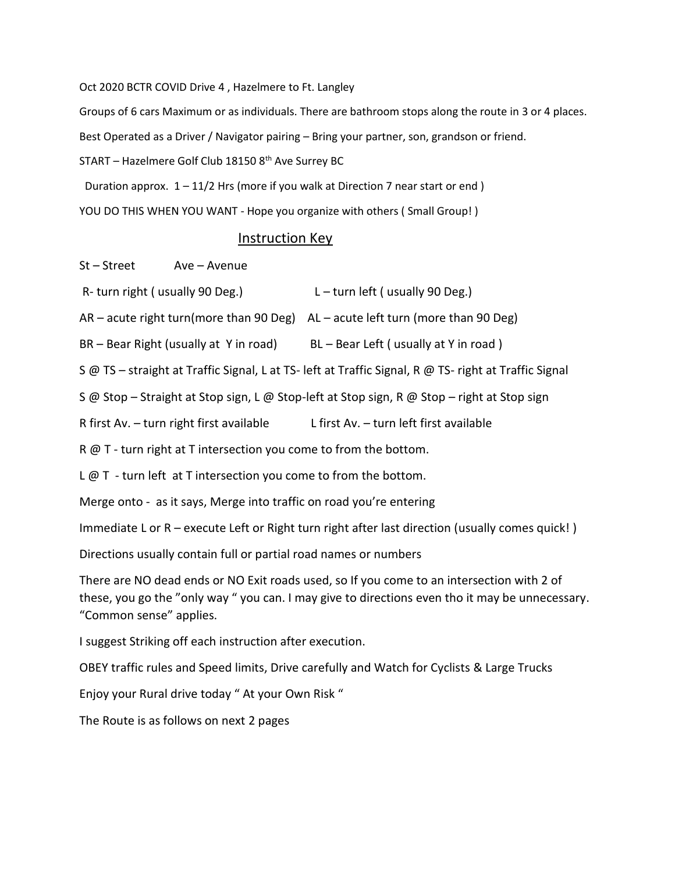Oct 2020 BCTR COVID Drive 4 , Hazelmere to Ft. Langley

Groups of 6 cars Maximum or as individuals. There are bathroom stops along the route in 3 or 4 places.

Best Operated as a Driver / Navigator pairing – Bring your partner, son, grandson or friend.

START – Hazelmere Golf Club 18150  $8<sup>th</sup>$  Ave Surrey BC

Duration approx.  $1 - 11/2$  Hrs (more if you walk at Direction 7 near start or end)

YOU DO THIS WHEN YOU WANT - Hope you organize with others (Small Group!)

## Instruction Key

St – Street Ave – Avenue

- R- turn right ( usually 90 Deg.)  $L \text{turn left}$  ( usually 90 Deg.)
- AR acute right turn(more than 90 Deg) AL acute left turn (more than 90 Deg)

BR – Bear Right (usually at Y in road) BL – Bear Left ( usually at Y in road )

S @ TS – straight at Traffic Signal, L at TS- left at Traffic Signal, R @ TS- right at Traffic Signal

S @ Stop – Straight at Stop sign, L @ Stop-left at Stop sign, R @ Stop – right at Stop sign

R first Av. – turn right first available L first Av. – turn left first available

R @ T - turn right at T intersection you come to from the bottom.

 $L \varnothing$  T - turn left at T intersection you come to from the bottom.

Merge onto - as it says, Merge into traffic on road you're entering

Immediate L or R – execute Left or Right turn right after last direction (usually comes quick! )

Directions usually contain full or partial road names or numbers

There are NO dead ends or NO Exit roads used, so If you come to an intersection with 2 of these, you go the "only way " you can. I may give to directions even tho it may be unnecessary. "Common sense" applies.

I suggest Striking off each instruction after execution.

OBEY traffic rules and Speed limits, Drive carefully and Watch for Cyclists & Large Trucks

Enjoy your Rural drive today " At your Own Risk "

The Route is as follows on next 2 pages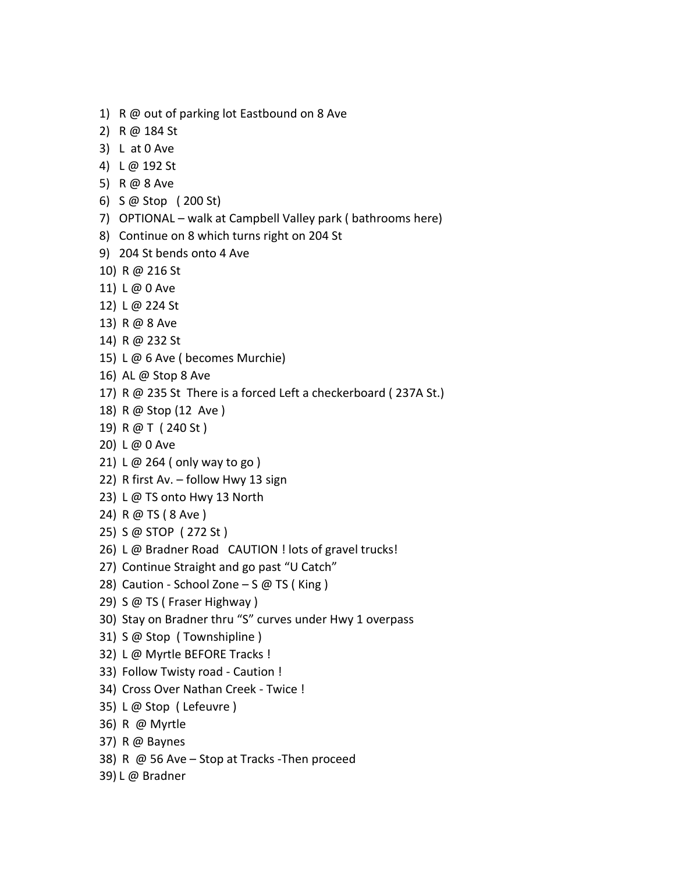- 1) R @ out of parking lot Eastbound on 8 Ave
- 2) R @ 184 St
- 3) L at 0 Ave
- 4) L @ 192 St
- 5) R @ 8 Ave
- 6) S @ Stop ( 200 St)
- 7) OPTIONAL walk at Campbell Valley park ( bathrooms here)
- 8) Continue on 8 which turns right on 204 St
- 9) 204 St bends onto 4 Ave
- 10) R @ 216 St
- 11) L @ 0 Ave
- 12) L @ 224 St
- 13) R @ 8 Ave
- 14) R @ 232 St
- 15) L @ 6 Ave ( becomes Murchie)
- 16) AL @ Stop 8 Ave
- 17) R @ 235 St There is a forced Left a checkerboard ( 237A St.)
- 18) R @ Stop (12 Ave )
- 19) R @ T ( 240 St )
- 20) L @ 0 Ave
- 21) L @ 264 ( only way to go )
- 22) R first Av. follow Hwy 13 sign
- 23) L @ TS onto Hwy 13 North
- 24) R @ TS ( 8 Ave )
- 25) S @ STOP ( 272 St )
- 26) L @ Bradner Road CAUTION ! lots of gravel trucks!
- 27) Continue Straight and go past "U Catch"
- 28) Caution School Zone  $-$  S @ TS (King)
- 29) S @ TS ( Fraser Highway )
- 30) Stay on Bradner thru "S" curves under Hwy 1 overpass
- 31) S @ Stop ( Townshipline )
- 32) L @ Myrtle BEFORE Tracks !
- 33) Follow Twisty road Caution !
- 34) Cross Over Nathan Creek Twice !
- 35) L @ Stop ( Lefeuvre )
- 36) R @ Myrtle
- 37) R @ Baynes
- 38) R @ 56 Ave Stop at Tracks -Then proceed
- 39) L @ Bradner